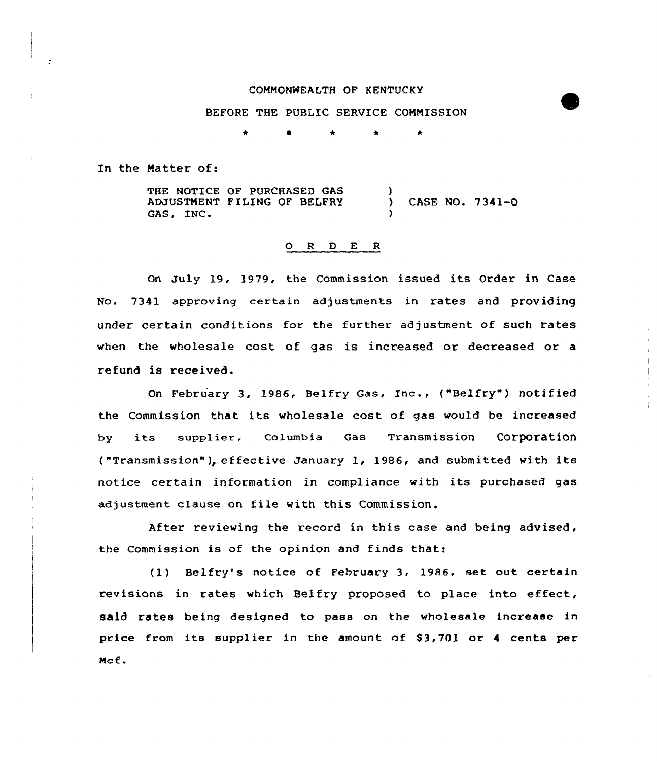### CONMONNEALTH OF KENTUCKY

#### BEFORE THE PUBLIC SERVICE CONNISSION

\* \* \* \*

In the Natter of:

THE NOTICE OF PURCHASED GAS ADJUSTNENT FILING OF BELFRY GAS, INC.  $\lambda$ } CASE NO. 7341-Q )

## 0 <sup>R</sup> <sup>D</sup> <sup>E</sup> <sup>R</sup>

On July 19, 1979, the Commission issued its Order in Case No. 7341 approving certain adjustments in rates and providing under certain conditions for the further adjustment of such rates when the wholesale cost of gas is increased or decreased or a refund is received.

On February 3, 1986, Belfry Gas, Inc., ("Belfry" ) notified the Commission that its wholesale cost of gas would be increased by its supplier, Columbia Gas Transmission Corporation ("Transmission"), effective January 1, 1986, and submitted with its notice certain information in compliance with its purchased gas adjustment clause on file with this Commission.

After reviewing the record in this case and being advised, the Commission is of the opinion and finds that:

(1) Belfry's notice of February 3, 1986, set out certain revisions in rates which Belfry proposed to place into effect, said rates being designed to pass on the wholesale increase in price from its supplier in the amount of S3,701 or <sup>4</sup> cents per Ncf.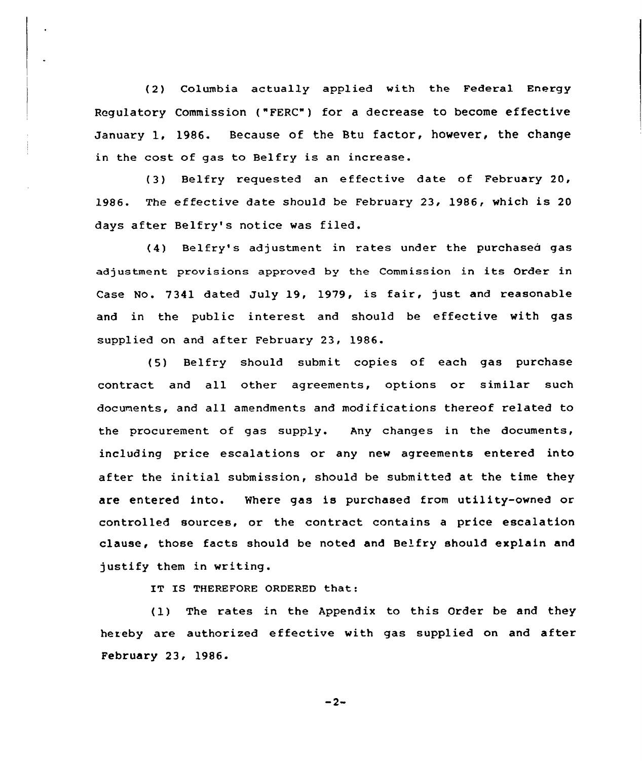(2) Columbia actually applied with the Federal Energy Regulatory Commission ("FERC") for a decrease to become effective January 1. 1986. Because of the Btu factor, however, the change in the cost of gas to Belfry is an increase.

(3) Belfry requested an effective date of February 20, 1986. The effective date should be February 23, 1986, which is 20 days after Belfry's notice was filed.

(4) Belfry' adjustment in rates under the purchased gas adjustment provisions approved by the Commission in its Order in Case No. 7341 dated July 19, 1979, is fair, just and reasonable and in the public interest and should be effective with gas supplied on and after February 23, 1986.

(5) Belfry should submit copies of each gas purchase contract and all other agreements, options or similar such documents, and all amendments and modifications thereof related to the procurement of gas supply. Any changes in the documents, including price escalations or any new agreements entered into after the initial submission, should be submitted at the time they are entered into. Where gas is purchased from utility-owned or controlled sources, or the contract contains a price escalation clause, those facts should be noted and Belfry should explain and justify them in writing.

IT IS THEREFORE ORDERED that:

(1) The rates in the Appendix to this Order be and they hereby are authorized effective with gas supplied on and after February 23, 1986-

 $-2-$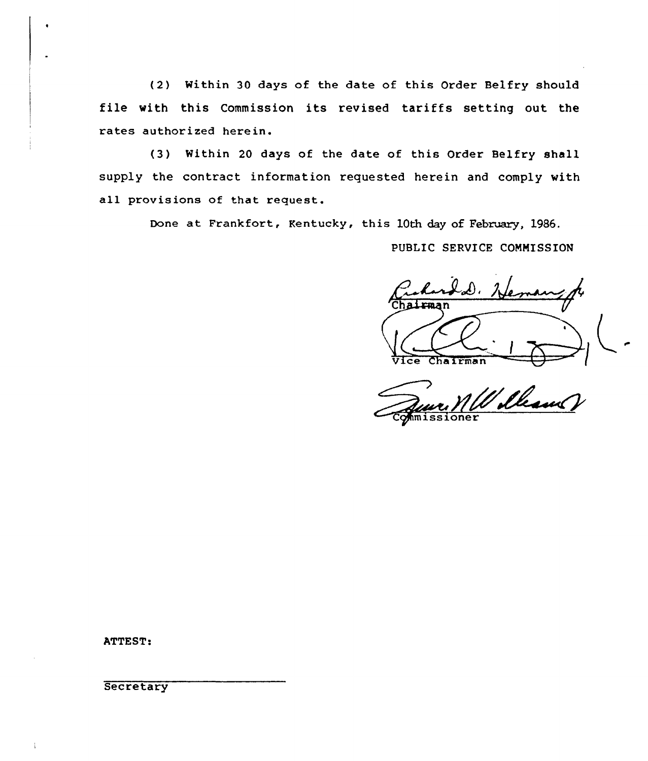(2) Within 30 days of the date of this Order Be1fry should file with this Commission its revised tariffs setting out the rates authorized herein.

(3) Within 20 days of the date of this Order Belfry shall supply the contract information requested herein and comply with all provisions of that request.

Done at Frankfort, Kentucky, this 1Qth day of February, 1986.

PUBLIC SERVICE COMMISSION

D. He hairman Vice Cha1rman

William

ATTEST:

**Secretary**